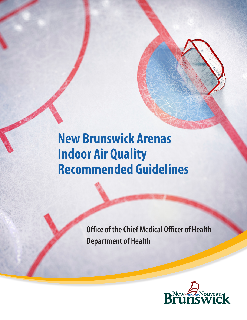# **New Brunswick Arenas Indoor Air Quality Recommended Guidelines**

**Office of the Chief Medical Officer of Health Department of Health**

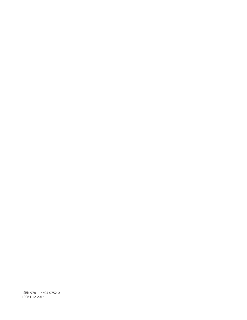ISBN 978-1- 4605-0752-0 10064-12-2014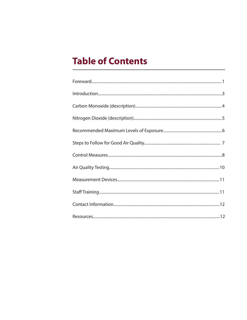### **Table of Contents**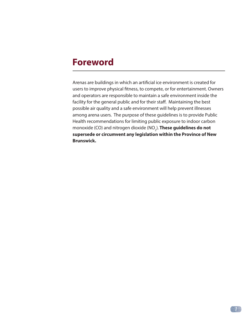### **Foreword**

Arenas are buildings in which an artificial ice environment is created for users to improve physical fitness, to compete, or for entertainment. Owners and operators are responsible to maintain a safe environment inside the facility for the general public and for their staff. Maintaining the best possible air quality and a safe environment will help prevent illnesses among arena users. The purpose of these guidelines is to provide Public Health recommendations for limiting public exposure to indoor carbon monoxide (CO) and nitrogen dioxide (NO<sub>2</sub>). **These guidelines do not supersede or circumvent any legislation within the Province of New Brunswick.**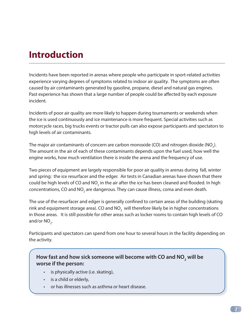### **Introduction**

Incidents have been reported in arenas where people who participate in sport-related activities experience varying degrees of symptoms related to indoor air quality. The symptoms are often caused by air contaminants generated by gasoline, propane, diesel and natural gas engines. Past experience has shown that a large number of people could be affected by each exposure incident.

Incidents of poor air quality are more likely to happen during tournaments or weekends when the ice is used continuously and ice maintenance is more frequent. Special activities such as motorcycle races, big trucks events or tractor pulls can also expose participants and spectators to high levels of air contaminants.

The major air contaminants of concern are carbon monoxide (CO) and nitrogen dioxide (NO<sub>2</sub>). The amount in the air of each of these contaminants depends upon the fuel used, how well the engine works, how much ventilation there is inside the arena and the frequency of use.

Two pieces of equipment are largely responsible for poor air quality in arenas during fall, winter and spring: the ice resurfacer and the edger. Air tests in Canadian arenas have shown that there could be high levels of CO and NO $_{\rm_2}$  in the air after the ice has been cleaned and flooded. In high concentrations, CO and NO<sub>2</sub> are dangerous. They can cause illness, coma and even death.

The use of the resurfacer and edger is generally confined to certain areas of the building (skating rink and equipment storage area). CO and NO $_{_2}$  will therefore likely be in higher concentrations in those areas. It is still possible for other areas such as locker rooms to contain high levels of CO and/or  $NO<sub>2</sub>$ .

Participants and spectators can spend from one hour to several hours in the facility depending on the activity.

### How fast and how sick someone will become with CO and NO<sub>2</sub> will be **worse if the person:**

- is physically active (i.e. skating),
- • is a child or elderly,
- or has illnesses such as asthma or heart disease.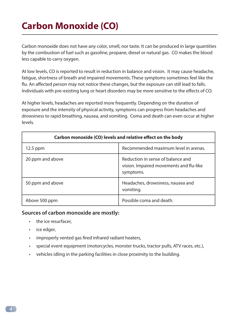# **Carbon Monoxide (CO)**

Carbon monoxide does not have any color, smell, nor taste. It can be produced in large quantities by the combustion of fuel such as gasoline, propane, diesel or natural gas. CO makes the blood less capable to carry oxygen.

At low levels, CO is reported to result in reduction in balance and vision. It may cause headache, fatigue, shortness of breath and impaired movements. These symptoms sometimes feel like the flu. An affected person may not notice these changes, but the exposure can still lead to falls. Individuals with pre-existing lung or heart disorders may be more sensitive to the effects of CO.

At higher levels, headaches are reported more frequently. Depending on the duration of exposure and the intensity of physical activity, symptoms can progress from headaches and drowsiness to rapid breathing, nausea, and vomiting. Coma and death can even occur at higher levels.

| Carbon monoxide (CO) levels and relative effect on the body |                                                                                           |  |
|-------------------------------------------------------------|-------------------------------------------------------------------------------------------|--|
| $12.5$ ppm                                                  | Recommended maximum level in arenas.                                                      |  |
| 20 ppm and above                                            | Reduction in sense of balance and<br>vision. Impaired movements and flu-like<br>symptoms. |  |
| 50 ppm and above                                            | Headaches, drowsiness, nausea and<br>vomiting.                                            |  |
| Above 500 ppm                                               | Possible coma and death.                                                                  |  |

### **Sources of carbon monoxide are mostly:**

- • the ice resurfacer,
- ice edger,
- improperly vented gas fired infrared radiant heaters,
- special event equipment (motorcycles, monster trucks, tractor pulls, ATV races, etc.),
- vehicles idling in the parking facilities in close proximity to the building.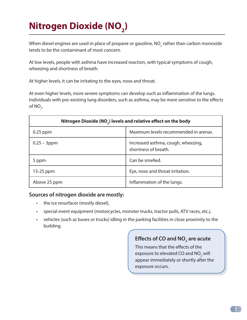# **Nitrogen Dioxide (NO<sub>2</sub>)**

When diesel engines are used in place of propane or gasoline, NO<sub>2</sub> rather than carbon monoxide tends to be the contaminant of most concern.

At low levels, people with asthma have increased reaction, with typical symptoms of cough, wheezing and shortness of breath.

At higher levels, it can be irritating to the eyes, nose and throat.

At even higher levels, more severe symptoms can develop such as inflammation of the lungs. Individuals with pre-existing lung disorders, such as asthma, may be more sensitive to the effects of  $NO<sub>2</sub>$ .

| Nitrogen Dioxide (NO <sub>2</sub> ) levels and relative effect on the body |                                                            |  |
|----------------------------------------------------------------------------|------------------------------------------------------------|--|
| $0.25$ ppm                                                                 | Maximum levels recommended in arenas.                      |  |
| $0.25 - 3$ ppm                                                             | Increased asthma, cough, wheezing,<br>shortness of breath. |  |
| 5 ppm                                                                      | Can be smelled.                                            |  |
| $15-25$ ppm                                                                | Eye, nose and throat irritation.                           |  |
| Above 25 ppm                                                               | Inflammation of the lungs.                                 |  |

#### **Sources of nitrogen dioxide are mostly:**

- • the ice resurfacer (mostly diesel),
- special event equipment (motorcycles, monster trucks, tractor pulls, ATV races, etc.),
- • vehicles (such as buses or trucks) idling in the parking facilities in close proximity to the building.

### **Effects of CO and NO<sub>2</sub> are acute**

This means that the effects of the exposure to elevated CO and NO<sub>2</sub> will appear immediately or shortly after the exposure occurs.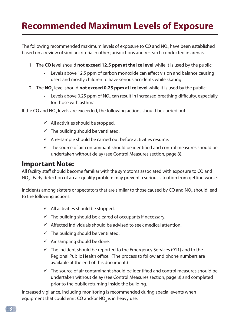### **Recommended Maximum Levels of Exposure**

The following recommended maximum levels of exposure to CO and NO $_{\textrm{\tiny{2}}}$  have been established based on a review of similar criteria in other jurisdictions and research conducted in arenas.

- 1. The **CO** level should **not exceed 12.5 ppm at the ice level** while it is used by the public:
	- Levels above 12.5 ppm of carbon monoxide can affect vision and balance causing users and mostly children to have serious accidents while skating.
- 2. The **NO<sub>2</sub>** level should **not exceed 0.25 ppm at ice level** while it is used by the public:
	- Levels above 0.25 ppm of NO<sub>2</sub> can result in increased breathing difficulty, especially for those with asthma.

If the CO and NO<sub>2</sub> levels are exceeded, the following actions should be carried out:

- $\checkmark$  All activities should be stopped.
- $\checkmark$  The building should be ventilated.
- $\checkmark$  A re-sample should be carried out before activities resume.
- $\checkmark$  The source of air contaminant should be identified and control measures should be undertaken without delay (see Control Measures section, page 8).

### **Important Note:**

All facility staff should become familiar with the symptoms associated with exposure to CO and  $\mathsf{NO}_2^{}$ . Early detection of an air quality problem may prevent a serious situation from getting worse.

Incidents among skaters or spectators that are similar to those caused by CO and NO $_{\textrm{\tiny{2}}}$  should lead to the following actions:

- $\checkmark$  All activities should be stopped.
- $\checkmark$  The building should be cleared of occupants if necessary.
- $\checkmark$  Affected individuals should be advised to seek medical attention.
- $\checkmark$  The building should be ventilated.
- $\checkmark$  Air sampling should be done.
- $\checkmark$  The incident should be reported to the Emergency Services (911) and to the Regional Public Health office. (The process to follow and phone numbers are available at the end of this document.)
- $\checkmark$  The source of air contaminant should be identified and control measures should be undertaken without delay (see Control Measures section, page 8) and completed prior to the public returning inside the building.

Increased vigilance, including monitoring is recommended during special events when equipment that could emit CO and/or NO $_{\textrm{\tiny{2}}}$  is in heavy use.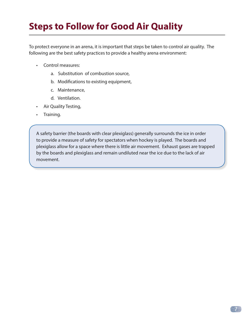## **Steps to Follow for Good Air Quality**

To protect everyone in an arena, it is important that steps be taken to control air quality. The following are the best safety practices to provide a healthy arena environment:

- • Control measures:
	- a. Substitution of combustion source,
	- b. Modifications to existing equipment,
	- c. Maintenance,
	- d. Ventilation.
- • Air Quality Testing,
- • Training.

A safety barrier (the boards with clear plexiglass) generally surrounds the ice in order to provide a measure of safety for spectators when hockey is played. The boards and plexiglass allow for a space where there is little air movement. Exhaust gases are trapped by the boards and plexiglass and remain undiluted near the ice due to the lack of air movement.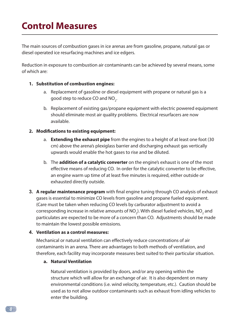The main sources of combustion gases in ice arenas are from gasoline, propane, natural gas or diesel operated ice resurfacing machines and ice edgers.

Reduction in exposure to combustion air contaminants can be achieved by several means, some of which are:

#### **1. Substitution of combustion engines:**

- a. Replacement of gasoline or diesel equipment with propane or natural gas is a good step to reduce CO and NO<sub>2</sub>.
- b. Replacement of existing gas/propane equipment with electric powered equipment should eliminate most air quality problems. Electrical resurfacers are now available.

#### **2. Modifications to existing equipment:**

- a. **Extending the exhaust pipe** from the engines to a height of at least one foot (30 cm) above the arena's plexiglass barrier and discharging exhaust gas vertically upwards would enable the hot gases to rise and be diluted.
- b. The **addition of a catalytic converter** on the engine's exhaust is one of the most effective means of reducing CO. In order for the catalytic converter to be effective, an engine warm up time of at least five minutes is required, either outside or exhausted directly outside.
- **3. A regular maintenance program** with final engine tuning through CO analysis of exhaust gases is essential to minimize CO levels from gasoline and propane fueled equipment. (Care must be taken when reducing CO levels by carburator adjustment to avoid a corresponding increase in relative amounts of NO<sub>2</sub>). With diesel fueled vehicles, NO<sub>2</sub> and particulates are expected to be more of a concern than CO. Adjustments should be made to maintain the lowest possible emissions.

#### **4. Ventilation as a control measures:**

Mechanical or natural ventilation can effectively reduce concentrations of air contaminants in an arena. There are advantages to both methods of ventilation, and therefore, each facility may incorporate measures best suited to their particular situation.

#### **a. Natural Ventilation**

Natural ventilation is provided by doors, and/or any opening within the structure which will allow for an exchange of air. It is also dependent on many environmental conditions (i.e. wind velocity, temperature, etc.). Caution should be used as to not allow outdoor contaminants such as exhaust from idling vehicles to enter the building.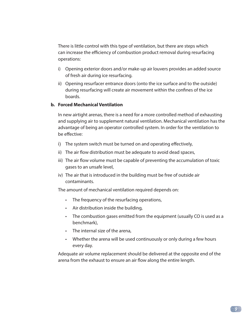There is little control with this type of ventilation, but there are steps which can increase the efficiency of combustion product removal during resurfacing operations:

- i) Opening exterior doors and/or make-up air louvers provides an added source of fresh air during ice resurfacing.
- ii) Opening resurfacer entrance doors (onto the ice surface and to the outside) during resurfacing will create air movement within the confines of the ice boards.

#### **b. Forced Mechanical Ventilation**

In new airtight arenas, there is a need for a more controlled method of exhausting and supplying air to supplement natural ventilation. Mechanical ventilation has the advantage of being an operator controlled system. In order for the ventilation to be effective:

- i) The system switch must be turned on and operating effectively,
- ii) The air flow distribution must be adequate to avoid dead spaces,
- iii) The air flow volume must be capable of preventing the accumulation of toxic gases to an unsafe level,
- iv) The air that is introduced in the building must be free of outside air contaminants.

The amount of mechanical ventilation required depends on:

- • The frequency of the resurfacing operations,
- • Air distribution inside the building,
- The combustion gases emitted from the equipment (usually CO is used as a benchmark),
- The internal size of the arena,
- Whether the arena will be used continuously or only during a few hours every day.

Adequate air volume replacement should be delivered at the opposite end of the arena from the exhaust to ensure an air flow along the entire length.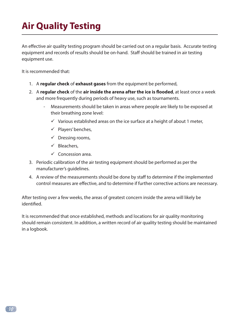# **Air Quality Testing**

An effective air quality testing program should be carried out on a regular basis. Accurate testing equipment and records of results should be on-hand. Staff should be trained in air testing equipment use.

It is recommended that:

- 1. A **regular check** of **exhaust gases** from the equipment be performed,
- 2. A **regular check** of the **air inside the arena after the ice is flooded**, at least once a week and more frequently during periods of heavy use, such as tournaments.
	- Measurements should be taken in areas where people are likely to be exposed at their breathing zone level:
		- $\checkmark$  Various established areas on the ice surface at a height of about 1 meter,
		- $\checkmark$  Players' benches,
		- $\checkmark$  Dressing rooms,
		- $\checkmark$  Bleachers,
		- $\checkmark$  Concession area.
- 3. Periodic calibration of the air testing equipment should be performed as per the manufacturer's guidelines.
- 4. A review of the measurements should be done by staff to determine if the implemented control measures are effective, and to determine if further corrective actions are necessary.

After testing over a few weeks, the areas of greatest concern inside the arena will likely be identified.

It is recommended that once established, methods and locations for air quality monitoring should remain consistent. In addition, a written record of air quality testing should be maintained in a logbook.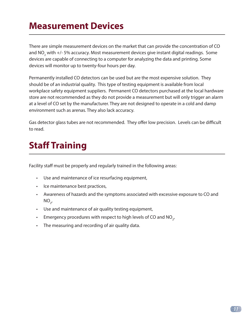### **Measurement Devices**

There are simple measurement devices on the market that can provide the concentration of CO and NO<sub>2</sub> with +/- 5% accuracy. Most measurement devices give instant digital readings. Some devices are capable of connecting to a computer for analyzing the data and printing. Some devices will monitor up to twenty-four hours per day.

Permanently installed CO detectors can be used but are the most expensive solution. They should be of an industrial quality. This type of testing equipment is available from local workplace safety equipment suppliers. Permanent CO detectors purchased at the local hardware store are not recommended as they do not provide a measurement but will only trigger an alarm at a level of CO set by the manufacturer. They are not designed to operate in a cold and damp environment such as arenas. They also lack accuracy.

Gas detector glass tubes are not recommended. They offer low precision. Levels can be difficult to read.

# **Staff Training**

Facility staff must be properly and regularly trained in the following areas:

- • Use and maintenance of ice resurfacing equipment,
- Ice maintenance best practices,
- Awareness of hazards and the symptoms associated with excessive exposure to CO and  $NO_{2'}$
- • Use and maintenance of air quality testing equipment,
- $\;$  Emergency procedures with respect to high levels of CO and NO $_{_{2^{\prime}}}$
- • The measuring and recording of air quality data.